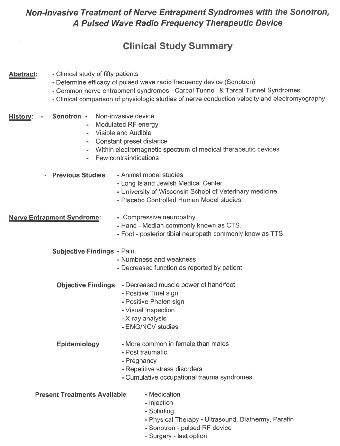## **Non-Invasive Treatment of Nerve Entrapment Syndromes with the Sonotron, A Pulsed Wave Radio Frequency Therapeutic Device**

# **Clinical Study Summary**

#### . Clinical study of fifty patients Abstract:

- . Determine efficacy of pulsed wave radio frequency device (Sonotron)
- . Common nerve entrapment syndromes Carpal Tunnel & Tarsal Tunnel Syndromes
- . Clinical comparison of physiologic studies of nerve conduction velocity and electromyography

#### Sonotron - Non-invasive device Historv: .

- Modulated RF energy
- Visible and Audible
- Constant preset distance
- . Within electromagnetic spectrum of medical therapeutic devices
- . Few contraindications
- . Previous Studies .Animal model studies
	- . Long Island Jewish Medical Center
	- . University of Wisconsin School of Veterinary medicine
	- . Placebo Controlled Human Model studies

#### **Nerve Entrapment Syndrome:**

- . Compressive neuropathy
- . Hand Median commonly known as CTS.
- . Foot posterior tibial neuropath commonly know as TTS.

Subjective Findings - Pain

- . Numbness and weakness
- . Decreased function as reported by patient
- Objective Findings Decreased muscle power of hand/foot
	- . Positive Tinel sign
	- . Positive Phalen sign
	- . Visual Inspection
	- . X-ray analysis
	- . EMG/NCV studies
- Epidemiology . More common in female than males
	- . Post traumatic
	- . Pregnancy
	- . Repetitive stress disorders
	- . Cumulative occupational trauma syndromes

Present Treatments Available

- . Medication
- Injection
- Splinting
- Physical Therapy Ultrasound, Diathermy, Parafin
- .Sonotron pulsed RF device
- Surgery last option